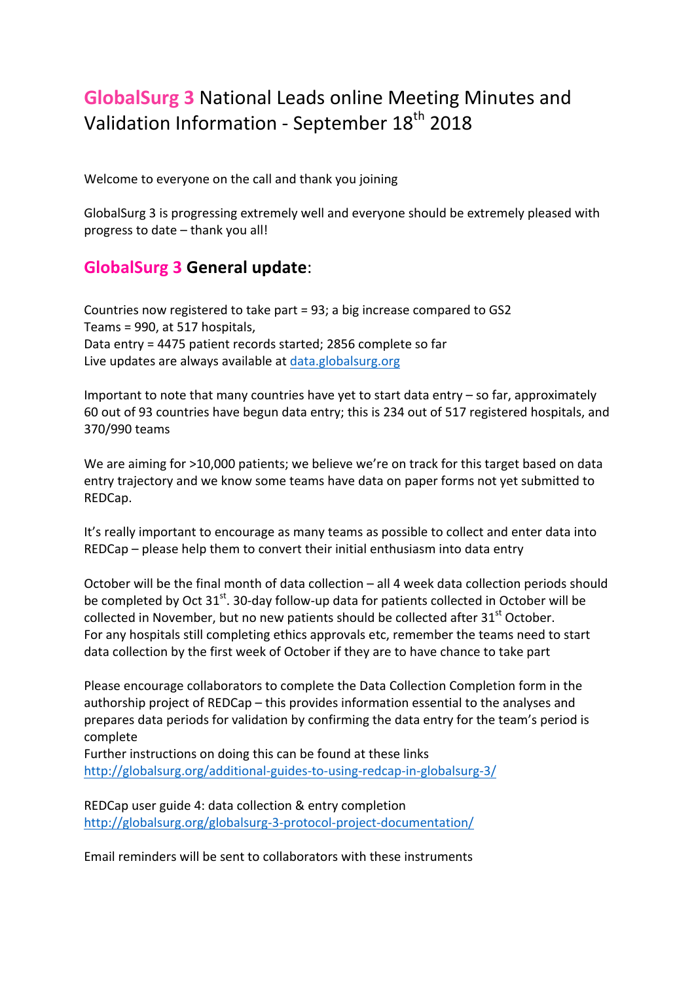# **GlobalSurg 3** National Leads online Meeting Minutes and Validation Information - September 18<sup>th</sup> 2018

Welcome to everyone on the call and thank you joining

GlobalSurg 3 is progressing extremely well and everyone should be extremely pleased with progress to date  $-$  thank you all!

# **GlobalSurg 3 General update**:

Countries now registered to take part = 93; a big increase compared to GS2 Teams = 990, at 517 hospitals, Data entry = 4475 patient records started; 2856 complete so far Live updates are always available at data.globalsurg.org

Important to note that many countries have yet to start data entry  $-$  so far, approximately 60 out of 93 countries have begun data entry; this is 234 out of 517 registered hospitals, and 370/990 teams 

We are aiming for >10,000 patients; we believe we're on track for this target based on data entry trajectory and we know some teams have data on paper forms not yet submitted to REDCap.

It's really important to encourage as many teams as possible to collect and enter data into  $REDCap$  – please help them to convert their initial enthusiasm into data entry

October will be the final month of data collection  $-$  all 4 week data collection periods should be completed by Oct  $31<sup>st</sup>$ . 30-day follow-up data for patients collected in October will be collected in November, but no new patients should be collected after  $31<sup>st</sup>$  October. For any hospitals still completing ethics approvals etc, remember the teams need to start data collection by the first week of October if they are to have chance to take part

Please encourage collaborators to complete the Data Collection Completion form in the authorship project of  $REDCap$  – this provides information essential to the analyses and prepares data periods for validation by confirming the data entry for the team's period is complete

Further instructions on doing this can be found at these links http://globalsurg.org/additional-guides-to-using-redcap-in-globalsurg-3/

REDCap user guide 4: data collection & entry completion http://globalsurg.org/globalsurg-3-protocol-project-documentation/

Email reminders will be sent to collaborators with these instruments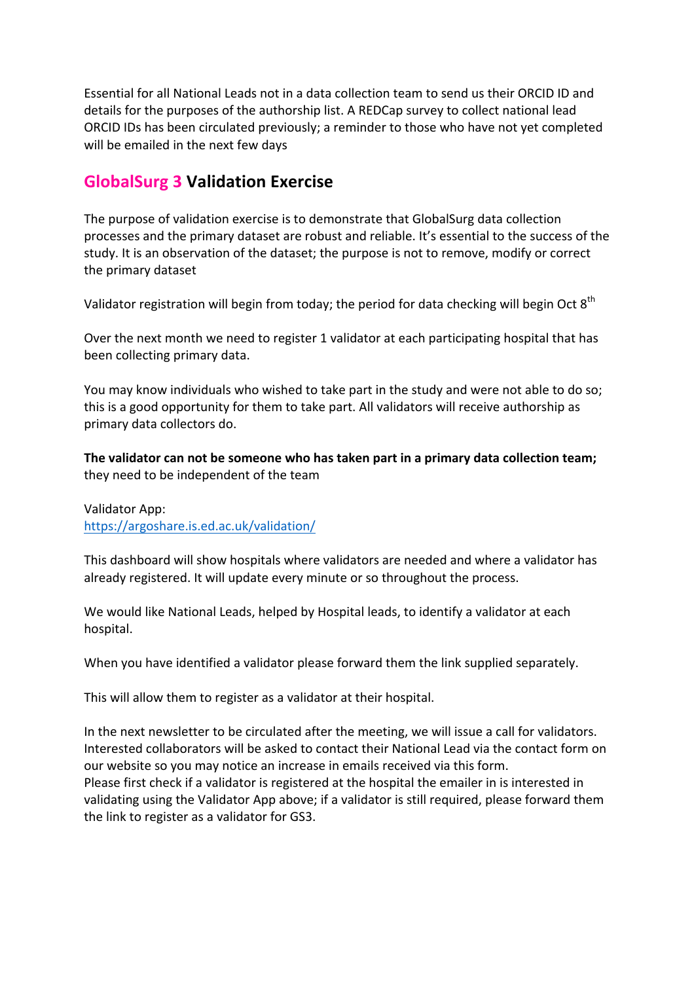Essential for all National Leads not in a data collection team to send us their ORCID ID and details for the purposes of the authorship list. A REDCap survey to collect national lead ORCID IDs has been circulated previously; a reminder to those who have not yet completed will be emailed in the next few days

# **GlobalSurg 3 Validation Exercise**

The purpose of validation exercise is to demonstrate that GlobalSurg data collection processes and the primary dataset are robust and reliable. It's essential to the success of the study. It is an observation of the dataset; the purpose is not to remove, modify or correct the primary dataset

Validator registration will begin from today; the period for data checking will begin Oct  $8<sup>th</sup>$ 

Over the next month we need to register 1 validator at each participating hospital that has been collecting primary data.

You may know individuals who wished to take part in the study and were not able to do so; this is a good opportunity for them to take part. All validators will receive authorship as primary data collectors do.

The validator can not be someone who has taken part in a primary data collection team; they need to be independent of the team

Validator App: https://argoshare.is.ed.ac.uk/validation/

This dashboard will show hospitals where validators are needed and where a validator has already registered. It will update every minute or so throughout the process.

We would like National Leads, helped by Hospital leads, to identify a validator at each hospital.

When you have identified a validator please forward them the link supplied separately.

This will allow them to register as a validator at their hospital.

In the next newsletter to be circulated after the meeting, we will issue a call for validators. Interested collaborators will be asked to contact their National Lead via the contact form on our website so you may notice an increase in emails received via this form. Please first check if a validator is registered at the hospital the emailer in is interested in validating using the Validator App above; if a validator is still required, please forward them the link to register as a validator for GS3.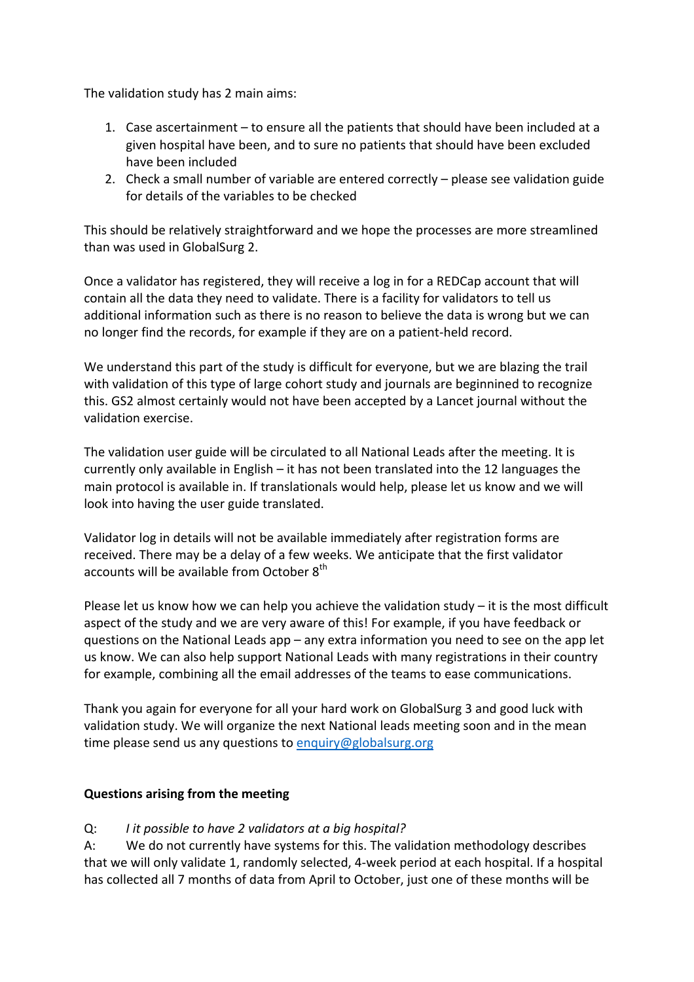The validation study has 2 main aims:

- 1. Case ascertainment to ensure all the patients that should have been included at a given hospital have been, and to sure no patients that should have been excluded have been included
- 2. Check a small number of variable are entered correctly please see validation guide for details of the variables to be checked

This should be relatively straightforward and we hope the processes are more streamlined than was used in GlobalSurg 2.

Once a validator has registered, they will receive a log in for a REDCap account that will contain all the data they need to validate. There is a facility for validators to tell us additional information such as there is no reason to believe the data is wrong but we can no longer find the records, for example if they are on a patient-held record.

We understand this part of the study is difficult for everyone, but we are blazing the trail with validation of this type of large cohort study and journals are beginnined to recognize this. GS2 almost certainly would not have been accepted by a Lancet journal without the validation exercise.

The validation user guide will be circulated to all National Leads after the meeting. It is currently only available in English  $-$  it has not been translated into the 12 languages the main protocol is available in. If translationals would help, please let us know and we will look into having the user guide translated.

Validator log in details will not be available immediately after registration forms are received. There may be a delay of a few weeks. We anticipate that the first validator accounts will be available from October 8<sup>th</sup>

Please let us know how we can help you achieve the validation study  $-$  it is the most difficult aspect of the study and we are very aware of this! For example, if you have feedback or questions on the National Leads  $app$  – any extra information you need to see on the app let us know. We can also help support National Leads with many registrations in their country for example, combining all the email addresses of the teams to ease communications.

Thank you again for everyone for all your hard work on GlobalSurg 3 and good luck with validation study. We will organize the next National leads meeting soon and in the mean time please send us any questions to enquiry@globalsurg.org

#### **Questions arising from the meeting**

Q: *I It possible to have 2 validators at a big hospital?* 

A: We do not currently have systems for this. The validation methodology describes that we will only validate 1, randomly selected, 4-week period at each hospital. If a hospital has collected all 7 months of data from April to October, just one of these months will be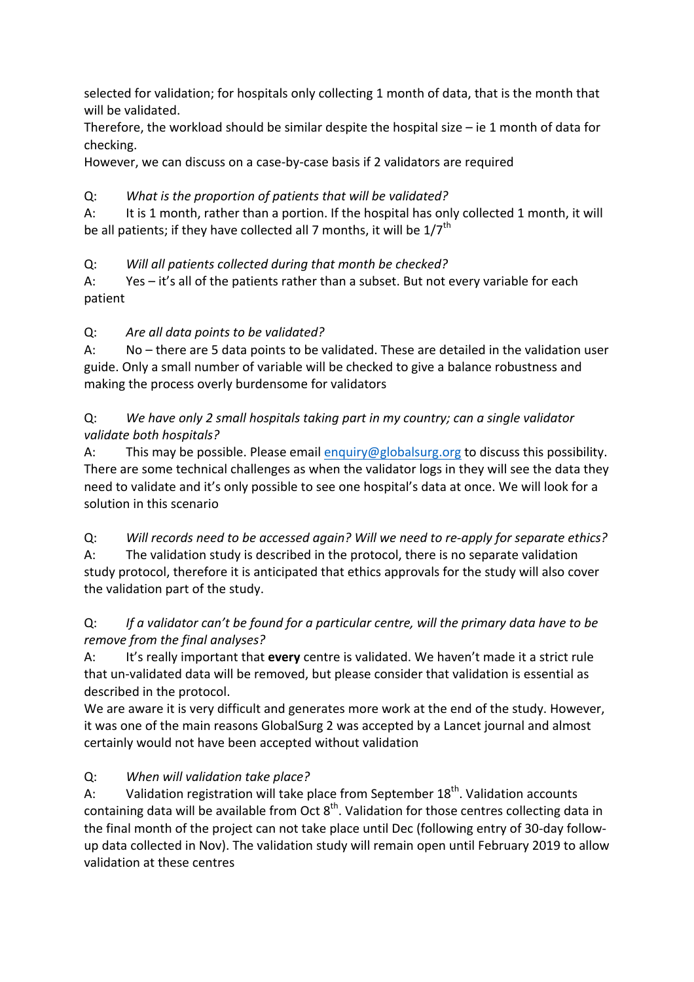selected for validation; for hospitals only collecting 1 month of data, that is the month that will be validated.

Therefore, the workload should be similar despite the hospital size  $-$  ie 1 month of data for checking.

However, we can discuss on a case-by-case basis if 2 validators are required

#### Q: What is the proportion of patients that will be validated?

A: It is 1 month, rather than a portion. If the hospital has only collected 1 month, it will be all patients; if they have collected all 7 months, it will be  $1/7^{\text{th}}$ 

# Q: *Will all patients collected during that month be checked?*

A: Yes  $-$  it's all of the patients rather than a subset. But not every variable for each patient

## Q: *Are all data points to be validated?*

A: No – there are 5 data points to be validated. These are detailed in the validation user guide. Only a small number of variable will be checked to give a balance robustness and making the process overly burdensome for validators

#### Q: *We have only 2 small hospitals taking part in my country; can a single validator validate both hospitals?*

A: This may be possible. Please email enquiry@globalsurg.org to discuss this possibility. There are some technical challenges as when the validator logs in they will see the data they need to validate and it's only possible to see one hospital's data at once. We will look for a solution in this scenario

Q: Will records need to be accessed again? Will we need to re-apply for separate ethics? A: The validation study is described in the protocol, there is no separate validation study protocol, therefore it is anticipated that ethics approvals for the study will also cover the validation part of the study.

## Q: If a validator can't be found for a particular centre, will the primary data have to be *remove from the final analyses?*

A: It's really important that **every** centre is validated. We haven't made it a strict rule that un-validated data will be removed, but please consider that validation is essential as described in the protocol.

We are aware it is very difficult and generates more work at the end of the study. However, it was one of the main reasons GlobalSurg 2 was accepted by a Lancet journal and almost certainly would not have been accepted without validation

# Q: *When will validation take place?*

A: Validation registration will take place from September  $18<sup>th</sup>$ . Validation accounts containing data will be available from Oct  $8<sup>th</sup>$ . Validation for those centres collecting data in the final month of the project can not take place until Dec (following entry of 30-day followup data collected in Nov). The validation study will remain open until February 2019 to allow validation at these centres